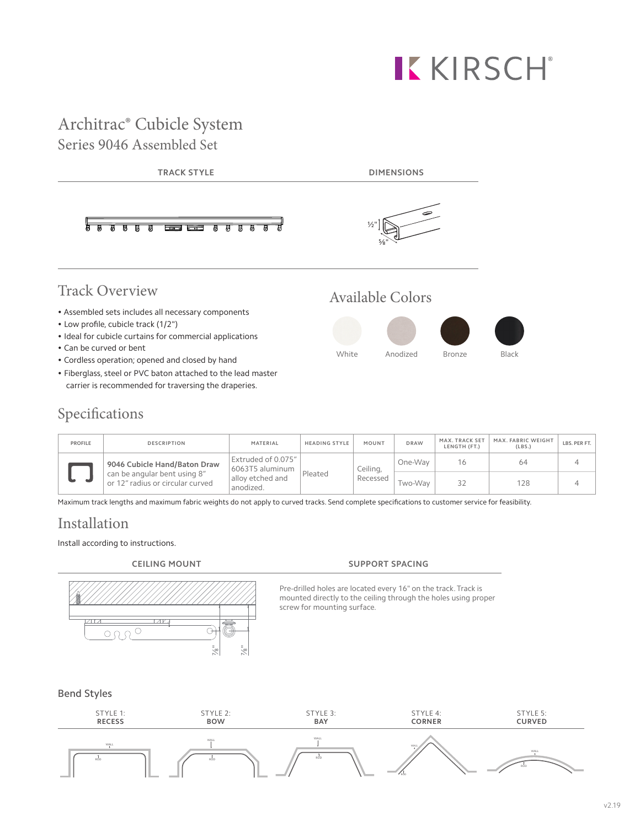# **KKIRSCH®**

# Architrac® Cubicle System Series 9046 Assembled Set



• Fiberglass, steel or PVC baton attached to the lead master carrier is recommended for traversing the draperies.

# Specifications

| <b>PROFILE</b> | <b>DESCRIPTION</b>                                                                               | MATERIAL                                                               | <b>HEADING STYLE</b> | MOUNT                | <b>DRAW</b> | MAX. TRACK SET<br>LENGTH (FT.) | MAX. FABRIC WEIGHT<br>(LBS.) | LBS. PER FT. |
|----------------|--------------------------------------------------------------------------------------------------|------------------------------------------------------------------------|----------------------|----------------------|-------------|--------------------------------|------------------------------|--------------|
|                | 9046 Cubicle Hand/Baton Draw<br>can be angular bent using 8"<br>or 12" radius or circular curved | Extruded of 0.075"<br>6063T5 aluminum<br>allov etched and<br>anodized. | Pleated              | Ceiling,<br>Recessed | One-Way     | 16                             | 64                           |              |
|                |                                                                                                  |                                                                        |                      |                      | Two-Way     | 32                             | 128                          |              |

Maximum track lengths and maximum fabric weights do not apply to curved tracks. Send complete specifications to customer service for feasibility.

# Installation

### Install according to instructions.



### **CEILING MOUNT SUPPORT SPACING**

Pre-drilled holes are located every 16" on the track. Track is mounted directly to the ceiling through the holes using proper screw for mounting surface.

### Bend Styles